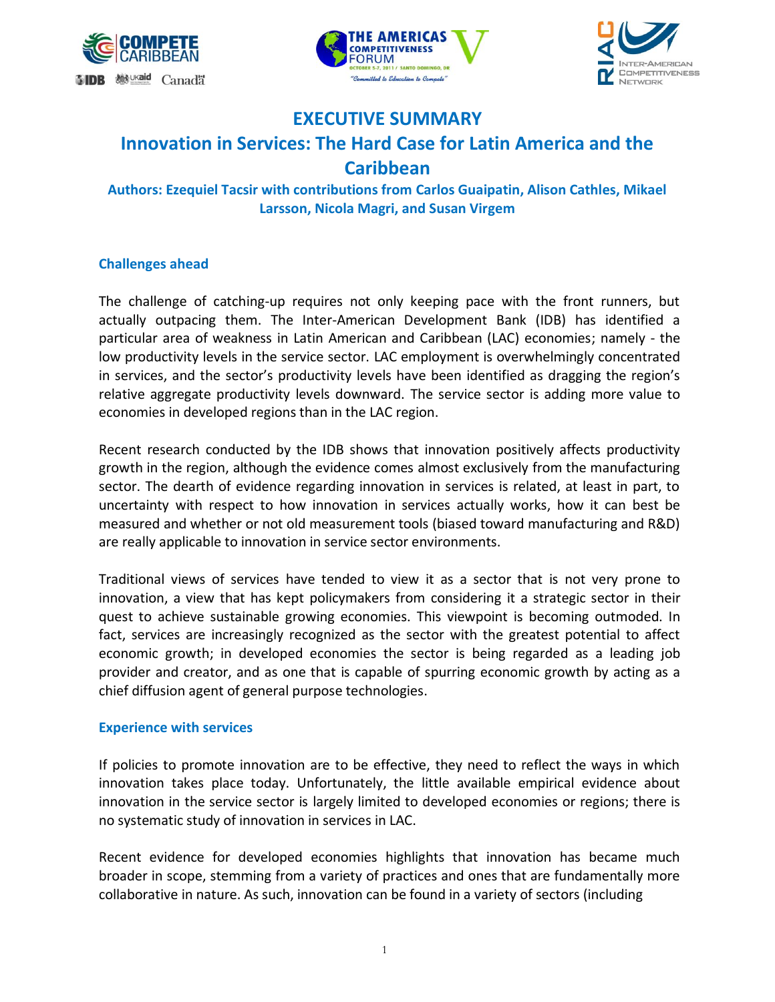





# **EXECUTIVE SUMMARY**

# **Innovation in Services: The Hard Case for Latin America and the Caribbean**

**Authors: Ezequiel Tacsir with contributions from Carlos Guaipatin, Alison Cathles, Mikael Larsson, Nicola Magri, and Susan Virgem**

## **Challenges ahead**

The challenge of catching-up requires not only keeping pace with the front runners, but actually outpacing them. The Inter-American Development Bank (IDB) has identified a particular area of weakness in Latin American and Caribbean (LAC) economies; namely - the low productivity levels in the service sector. LAC employment is overwhelmingly concentrated in services, and the sector's productivity levels have been identified as dragging the region's relative aggregate productivity levels downward. The service sector is adding more value to economies in developed regions than in the LAC region.

Recent research conducted by the IDB shows that innovation positively affects productivity growth in the region, although the evidence comes almost exclusively from the manufacturing sector. The dearth of evidence regarding innovation in services is related, at least in part, to uncertainty with respect to how innovation in services actually works, how it can best be measured and whether or not old measurement tools (biased toward manufacturing and R&D) are really applicable to innovation in service sector environments.

Traditional views of services have tended to view it as a sector that is not very prone to innovation, a view that has kept policymakers from considering it a strategic sector in their quest to achieve sustainable growing economies. This viewpoint is becoming outmoded. In fact, services are increasingly recognized as the sector with the greatest potential to affect economic growth; in developed economies the sector is being regarded as a leading job provider and creator, and as one that is capable of spurring economic growth by acting as a chief diffusion agent of general purpose technologies.

## **Experience with services**

If policies to promote innovation are to be effective, they need to reflect the ways in which innovation takes place today. Unfortunately, the little available empirical evidence about innovation in the service sector is largely limited to developed economies or regions; there is no systematic study of innovation in services in LAC.

Recent evidence for developed economies highlights that innovation has became much broader in scope, stemming from a variety of practices and ones that are fundamentally more collaborative in nature. As such, innovation can be found in a variety of sectors (including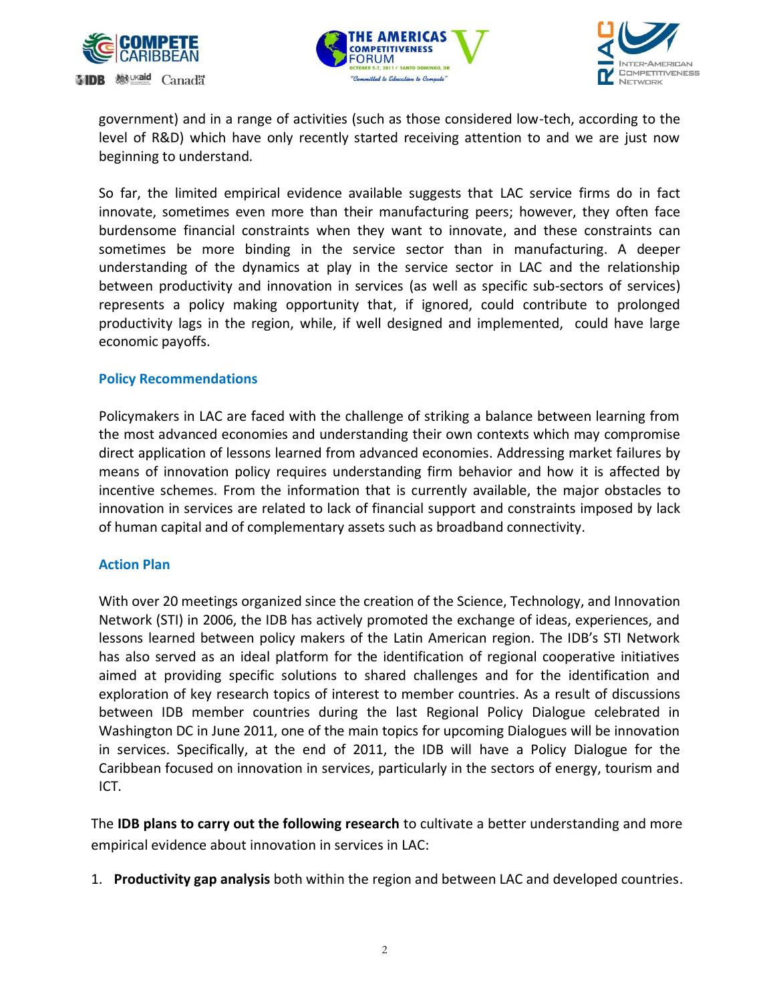





government) and in a range of activities (such as those considered low-tech, according to the level of R&D) which have only recently started receiving attention to and we are just now beginning to understand.

So far, the limited empirical evidence available suggests that LAC service firms do in fact innovate, sometimes even more than their manufacturing peers; however, they often face burdensome financial constraints when they want to innovate, and these constraints can sometimes be more binding in the service sector than in manufacturing. A deeper understanding of the dynamics at play in the service sector in LAC and the relationship between productivity and innovation in services (as well as specific sub-sectors of services) represents a policy making opportunity that, if ignored, could contribute to prolonged productivity lags in the region, while, if well designed and implemented, could have large economic payoffs.

#### **Policy Recommendations**

Policymakers in LAC are faced with the challenge of striking a balance between learning from the most advanced economies and understanding their own contexts which may compromise direct application of lessons learned from advanced economies. Addressing market failures by means of innovation policy requires understanding firm behavior and how it is affected by incentive schemes. From the information that is currently available, the major obstacles to innovation in services are related to lack of financial support and constraints imposed by lack of human capital and of complementary assets such as broadband connectivity.

#### **Action Plan**

With over 20 meetings organized since the creation of the Science, Technology, and Innovation Network (STI) in 2006, the IDB has actively promoted the exchange of ideas, experiences, and lessons learned between policy makers of the Latin American region. The IDB's STI Network has also served as an ideal platform for the identification of regional cooperative initiatives aimed at providing specific solutions to shared challenges and for the identification and exploration of key research topics of interest to member countries. As a result of discussions between IDB member countries during the last Regional Policy Dialogue celebrated in Washington DC in June 2011, one of the main topics for upcoming Dialogues will be innovation in services. Specifically, at the end of 2011, the IDB will have a Policy Dialogue for the Caribbean focused on innovation in services, particularly in the sectors of energy, tourism and ICT.

The **IDB plans to carry out the following research** to cultivate a better understanding and more empirical evidence about innovation in services in LAC:

1. **Productivity gap analysis** both within the region and between LAC and developed countries.